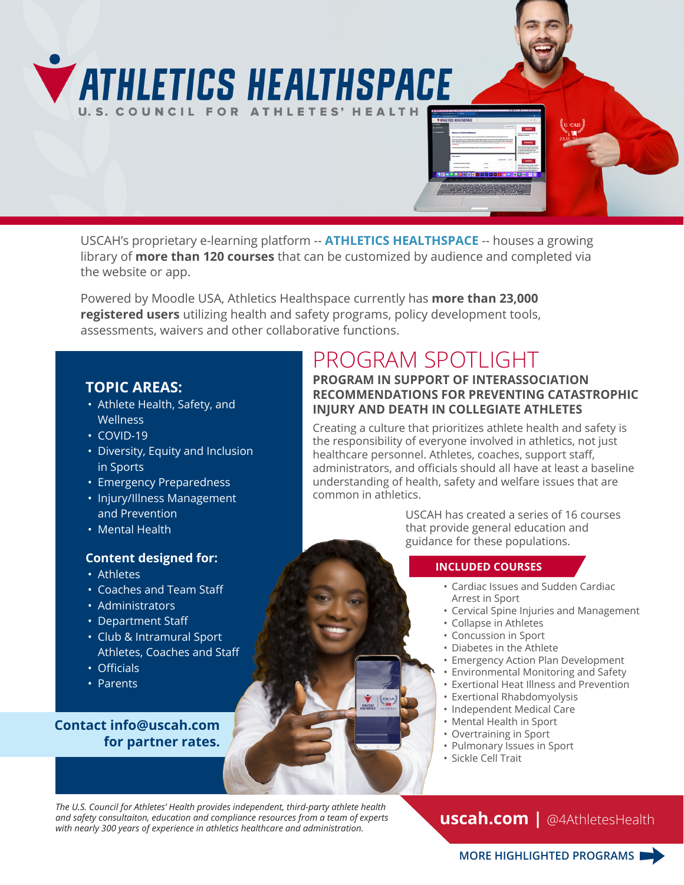# **VATHLETICS HEALTHSPACE** U.S. COUNCIL FOR ATHLETES' HEALTI

USCAH's proprietary e-learning platform -- **ATHLETICS HEALTHSPACE** -- houses a growing library of **more than 120 courses** that can be customized by audience and completed via the website or app.

Powered by Moodle USA, Athletics Healthspace currently has **more than 23,000 registered users** utilizing health and safety programs, policy development tools, assessments, waivers and other collaborative functions.

### **TOPIC AREAS:**

- Athlete Health, Safety, and **Wellness**
- COVID-19
- Diversity, Equity and Inclusion in Sports
- Emergency Preparedness
- Injury/Illness Management and Prevention
- Mental Health

### **Content designed for:**

- Athletes
- Coaches and Team Staff
- Administrators
- Department Staff
- Club & Intramural Sport Athletes, Coaches and Staff
- Officials
- Parents

**Contact [info@uscah.com](mailto:info%40uscah.com?subject=) for partner rates.**

## PROGRAM SPOTLIGHT

### **PROGRAM IN SUPPORT OF INTERASSOCIATION RECOMMENDATIONS FOR PREVENTING CATASTROPHIC INJURY AND DEATH IN COLLEGIATE ATHLETES**

Creating a culture that prioritizes athlete health and safety is the responsibility of everyone involved in athletics, not just healthcare personnel. Athletes, coaches, support staff, administrators, and officials should all have at least a baseline understanding of health, safety and welfare issues that are common in athletics.

> USCAH has created a series of 16 courses that provide general education and guidance for these populations.

### **INCLUDED COURSES**

- Cardiac Issues and Sudden Cardiac Arrest in Sport
- Cervical Spine Injuries and Management
- Collapse in Athletes
- Concussion in Sport
- Diabetes in the Athlete
- Emergency Action Plan Development
- Environmental Monitoring and Safety
- Exertional Heat Illness and Prevention
- Exertional Rhabdomyolysis
- Independent Medical Care
- Mental Health in Sport
- Overtraining in Sport
- Pulmonary Issues in Sport
- Sickle Cell Trait

*The U.S. Council for Athletes' Health provides independent, third-party athlete health and safety consultaiton, education and compliance resources from a team of experts with nearly 300 years of experience in athletics healthcare and administration.*

**[uscah.com](https://www.uscah.com) |** @4AthletesHealth